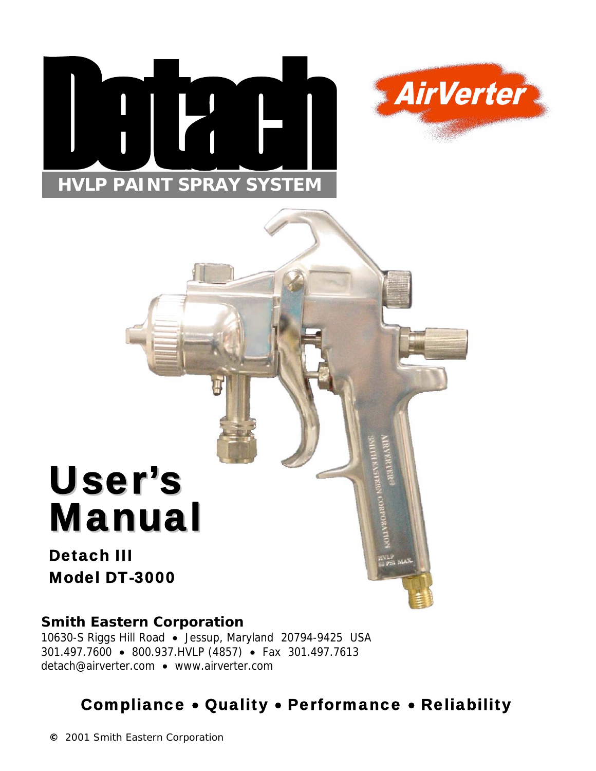



# User's Manual

# Detach III Model DT-3000

# **Smith Eastern Corporation**

10630-S Riggs Hill Road • Jessup, Maryland 20794-9425 USA 301.497.7600 • 800.937.HVLP (4857) • Fax 301.497.7613 detach@airverter.com • www.airverter.com

# Compliance • Quality • Performance • Reliability

**©** 2001 Smith Eastern Corporation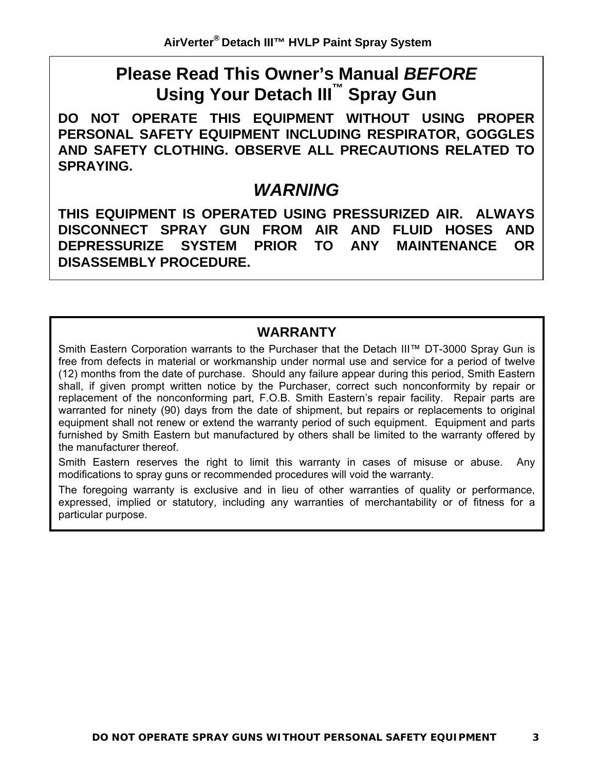# **Please Read This Owner's Manual** *BEFORE* **Using Your Detach III™ Spray Gun**

**DO NOT OPERATE THIS EQUIPMENT WITHOUT USING PROPER PERSONAL SAFETY EQUIPMENT INCLUDING RESPIRATOR, GOGGLES AND SAFETY CLOTHING. OBSERVE ALL PRECAUTIONS RELATED TO SPRAYING.**

# *WARNING*

**THIS EQUIPMENT IS OPERATED USING PRESSURIZED AIR. ALWAYS DISCONNECT SPRAY GUN FROM AIR AND FLUID HOSES AND DEPRESSURIZE SYSTEM PRIOR TO ANY MAINTENANCE OR DISASSEMBLY PROCEDURE.**

# **WARRANTY**

Smith Eastern Corporation warrants to the Purchaser that the Detach III™ DT-3000 Spray Gun is free from defects in material or workmanship under normal use and service for a period of twelve (12) months from the date of purchase. Should any failure appear during this period, Smith Eastern shall, if given prompt written notice by the Purchaser, correct such nonconformity by repair or replacement of the nonconforming part, F.O.B. Smith Eastern's repair facility. Repair parts are warranted for ninety (90) days from the date of shipment, but repairs or replacements to original equipment shall not renew or extend the warranty period of such equipment. Equipment and parts furnished by Smith Eastern but manufactured by others shall be limited to the warranty offered by the manufacturer thereof.

Smith Eastern reserves the right to limit this warranty in cases of misuse or abuse. Any modifications to spray guns or recommended procedures will void the warranty.

The foregoing warranty is exclusive and in lieu of other warranties of quality or performance, expressed, implied or statutory, including any warranties of merchantability or of fitness for a particular purpose.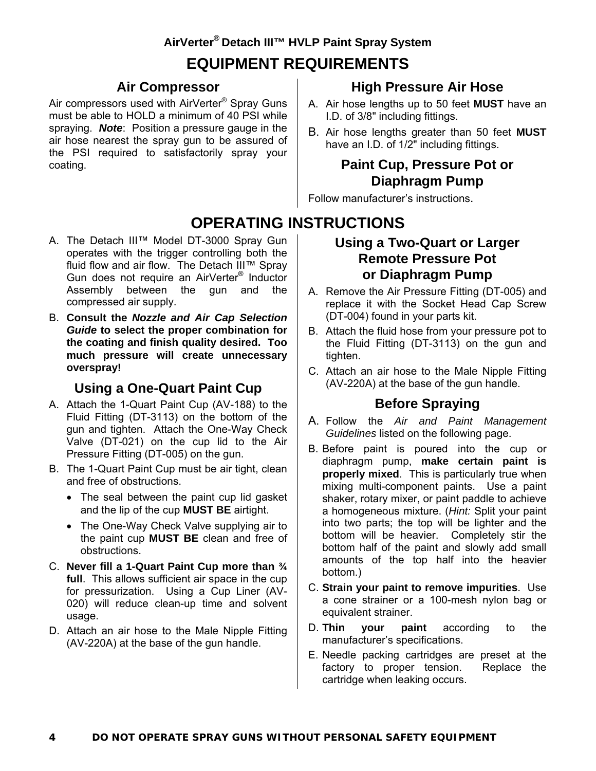# **EQUIPMENT REQUIREMENTS**

#### **Air Compressor**

Air compressors used with AirVerter® Spray Guns must be able to HOLD a minimum of 40 PSI while spraying.*Note*: Position a pressure gauge in the air hose nearest the spray gun to be assured of the PSI required to satisfactorily spray your coating.

# **High Pressure Air Hose**

- A. Air hose lengths up to 50 feet **MUST** have an I.D. of 3/8" including fittings.
- B. Air hose lengths greater than 50 feet **MUST** have an I.D. of 1/2" including fittings.

## **Paint Cup, Pressure Pot or Diaphragm Pump**

Follow manufacturer's instructions.

# **OPERATING INSTRUCTIONS**

- A. The Detach III™ Model DT-3000 Spray Gun operates with the trigger controlling both the fluid flow and air flow. The Detach III™ Spray Gun does not require an AirVerter® Inductor Assembly between the gun and the compressed air supply.
- B. **Consult the** *Nozzle and Air Cap Selection Guide* **to select the proper combination for the coating and finish quality desired. Too much pressure will create unnecessary overspray!**

# **Using a One-Quart Paint Cup**

- A. Attach the 1-Quart Paint Cup (AV-188) to the Fluid Fitting (DT-3113) on the bottom of the gun and tighten. Attach the One-Way Check Valve (DT-021) on the cup lid to the Air Pressure Fitting (DT-005) on the gun.
- B. The 1-Quart Paint Cup must be air tight, clean and free of obstructions.
	- The seal between the paint cup lid gasket and the lip of the cup **MUST BE** airtight.
	- The One-Way Check Valve supplying air to the paint cup **MUST BE** clean and free of obstructions.
- C. **Never fill a 1-Quart Paint Cup more than ¾ full**. This allows sufficient air space in the cup for pressurization. Using a Cup Liner (AV-020) will reduce clean-up time and solvent usage.
- D. Attach an air hose to the Male Nipple Fitting (AV-220A) at the base of the gun handle.

#### **Using a Two-Quart or Larger Remote Pressure Pot or Diaphragm Pump**

- A. Remove the Air Pressure Fitting (DT-005) and replace it with the Socket Head Cap Screw (DT-004) found in your parts kit.
- B. Attach the fluid hose from your pressure pot to the Fluid Fitting (DT-3113) on the gun and tighten.
- C. Attach an air hose to the Male Nipple Fitting (AV-220A) at the base of the gun handle.

# **Before Spraying**

- A. Follow the *Air and Paint Management Guidelines* listed on the following page.
- B. Before paint is poured into the cup or diaphragm pump, **make certain paint is properly mixed**. This is particularly true when mixing multi-component paints. Use a paint shaker, rotary mixer, or paint paddle to achieve a homogeneous mixture. (*Hint:* Split your paint into two parts; the top will be lighter and the bottom will be heavier. Completely stir the bottom half of the paint and slowly add small amounts of the top half into the heavier bottom.)
- C. **Strain your paint to remove impurities**. Use a cone strainer or a 100-mesh nylon bag or equivalent strainer.
- D. **Thin your paint** according to the manufacturer's specifications.
- E. Needle packing cartridges are preset at the factory to proper tension. Replace the cartridge when leaking occurs.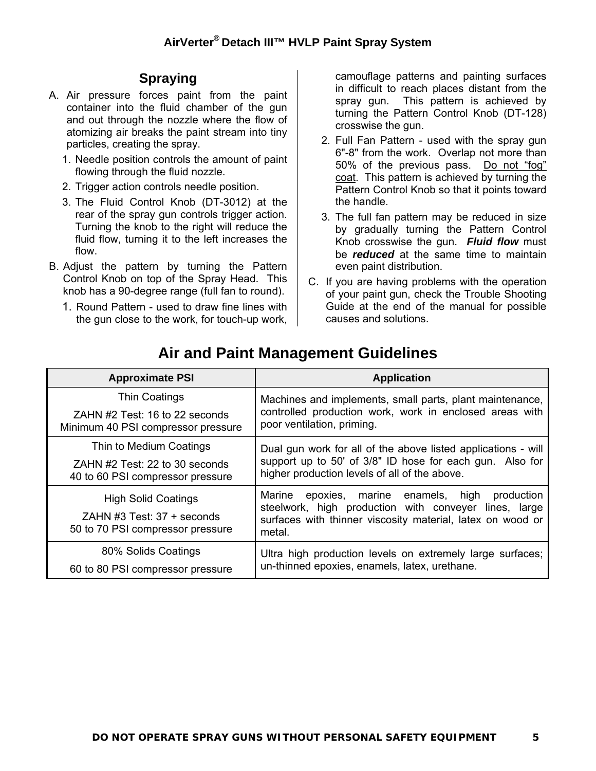# **Spraying**

- A. Air pressure forces paint from the paint container into the fluid chamber of the gun and out through the nozzle where the flow of atomizing air breaks the paint stream into tiny particles, creating the spray.
	- 1. Needle position controls the amount of paint flowing through the fluid nozzle.
	- 2. Trigger action controls needle position.
	- 3. The Fluid Control Knob (DT-3012) at the rear of the spray gun controls trigger action. Turning the knob to the right will reduce the fluid flow, turning it to the left increases the flow.
- B. Adjust the pattern by turning the Pattern Control Knob on top of the Spray Head. This knob has a 90-degree range (full fan to round).
	- 1. Round Pattern used to draw fine lines with the gun close to the work, for touch-up work,

camouflage patterns and painting surfaces in difficult to reach places distant from the spray gun. This pattern is achieved by turning the Pattern Control Knob (DT-128) crosswise the gun.

- 2. Full Fan Pattern used with the spray gun 6"-8" from the work. Overlap not more than 50% of the previous pass. Do not "fog" coat. This pattern is achieved by turning the Pattern Control Knob so that it points toward the handle.
- 3. The full fan pattern may be reduced in size by gradually turning the Pattern Control Knob crosswise the gun. *Fluid flow* must be *reduced* at the same time to maintain even paint distribution.
- C. If you are having problems with the operation of your paint gun, check the Trouble Shooting Guide at the end of the manual for possible causes and solutions.

| <b>Approximate PSI</b>                                                                         |  | <b>Application</b>                                                                                                                                                                  |  |
|------------------------------------------------------------------------------------------------|--|-------------------------------------------------------------------------------------------------------------------------------------------------------------------------------------|--|
| Thin Coatings<br>ZAHN #2 Test: 16 to 22 seconds<br>Minimum 40 PSI compressor pressure          |  | Machines and implements, small parts, plant maintenance,                                                                                                                            |  |
|                                                                                                |  | controlled production work, work in enclosed areas with<br>poor ventilation, priming.                                                                                               |  |
| Thin to Medium Coatings<br>ZAHN #2 Test: 22 to 30 seconds<br>40 to 60 PSI compressor pressure  |  | Dual gun work for all of the above listed applications - will                                                                                                                       |  |
|                                                                                                |  | support up to 50' of 3/8" ID hose for each gun. Also for<br>higher production levels of all of the above.                                                                           |  |
| <b>High Solid Coatings</b><br>ZAHN #3 Test: $37 +$ seconds<br>50 to 70 PSI compressor pressure |  | Marine<br>epoxies, marine enamels, high production<br>steelwork, high production with conveyer lines, large<br>surfaces with thinner viscosity material, latex on wood or<br>metal. |  |
| 80% Solids Coatings<br>60 to 80 PSI compressor pressure                                        |  | Ultra high production levels on extremely large surfaces;<br>un-thinned epoxies, enamels, latex, urethane.                                                                          |  |

# **Air and Paint Management Guidelines**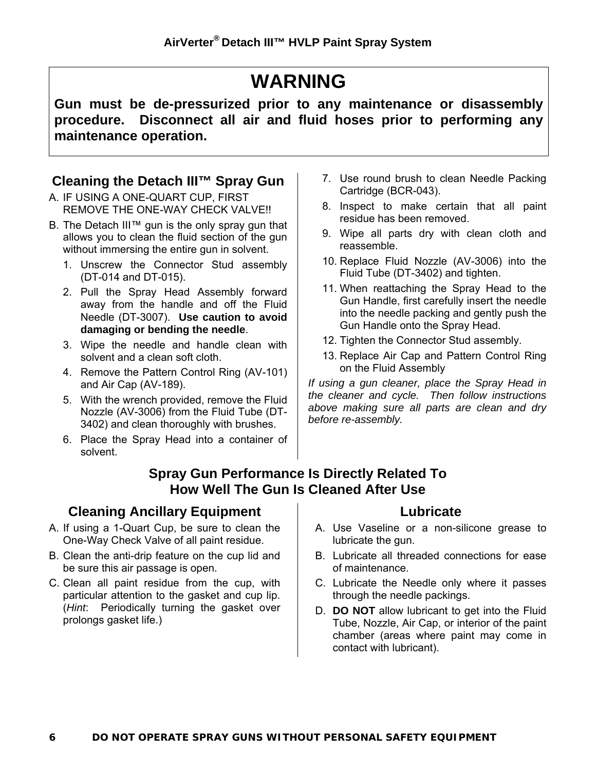# **WARNING**

**Gun must be de-pressurized prior to any maintenance or disassembly procedure. Disconnect all air and fluid hoses prior to performing any maintenance operation.**

# **Cleaning the Detach III™ Spray Gun**

- A. IF USING A ONE-QUART CUP, FIRST REMOVE THE ONE-WAY CHECK VALVE!!
- B. The Detach III™ gun is the only spray gun that allows you to clean the fluid section of the gun without immersing the entire gun in solvent.
	- 1. Unscrew the Connector Stud assembly (DT-014 and DT-015).
	- 2. Pull the Spray Head Assembly forward away from the handle and off the Fluid Needle (DT-3007). **Use caution to avoid damaging or bending the needle**.
	- 3. Wipe the needle and handle clean with solvent and a clean soft cloth.
	- 4. Remove the Pattern Control Ring (AV-101) and Air Cap (AV-189).
	- 5. With the wrench provided, remove the Fluid Nozzle (AV-3006) from the Fluid Tube (DT-3402) and clean thoroughly with brushes.
	- 6. Place the Spray Head into a container of solvent.
- 7. Use round brush to clean Needle Packing Cartridge (BCR-043).
- 8. Inspect to make certain that all paint residue has been removed.
- 9. Wipe all parts dry with clean cloth and reassemble.
- 10. Replace Fluid Nozzle (AV-3006) into the Fluid Tube (DT-3402) and tighten.
- 11. When reattaching the Spray Head to the Gun Handle, first carefully insert the needle into the needle packing and gently push the Gun Handle onto the Spray Head.
- 12. Tighten the Connector Stud assembly.
- 13. Replace Air Cap and Pattern Control Ring on the Fluid Assembly

*If using a gun cleaner, place the Spray Head in the cleaner and cycle. Then follow instructions above making sure all parts are clean and dry before re-assembly.*

#### **Spray Gun Performance Is Directly Related To How Well The Gun Is Cleaned After Use**

# **Cleaning Ancillary Equipment**

- A. If using a 1-Quart Cup, be sure to clean the One-Way Check Valve of all paint residue.
- B. Clean the anti-drip feature on the cup lid and be sure this air passage is open.
- C. Clean all paint residue from the cup, with particular attention to the gasket and cup lip. (*Hint*: Periodically turning the gasket over prolongs gasket life.)

#### **Lubricate**

- A. Use Vaseline or a non-silicone grease to lubricate the gun.
- B. Lubricate all threaded connections for ease of maintenance.
- C. Lubricate the Needle only where it passes through the needle packings.
- D. **DO NOT** allow lubricant to get into the Fluid Tube, Nozzle, Air Cap, or interior of the paint chamber (areas where paint may come in contact with lubricant).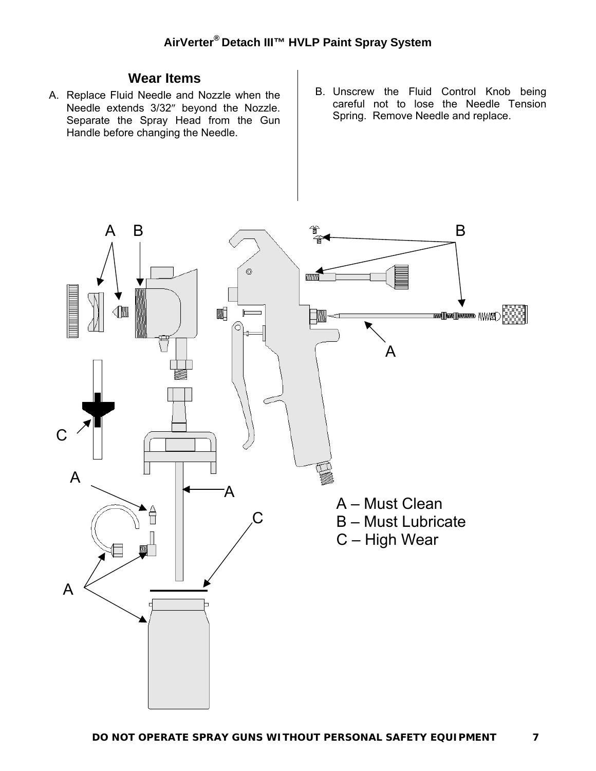# **Wear Items**

- A. Replace Fluid Needle and Nozzle when the Needle extends 3/32″ beyond the Nozzle. Separate the Spray Head from the Gun Handle before changing the Needle.
- B. Unscrew the Fluid Control Knob being careful not to lose the Needle Tension Spring. Remove Needle and replace.

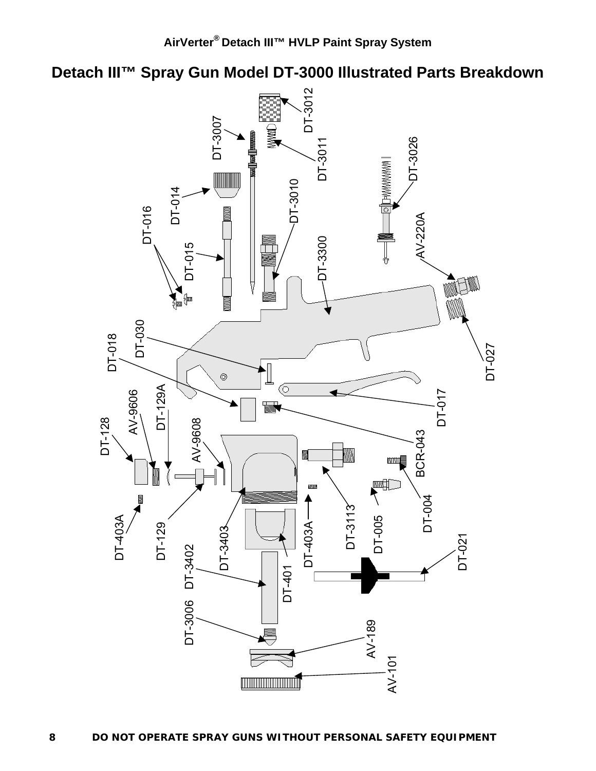**Detach III™ Spray Gun Model DT-3000 Illustrated Parts Breakdown**

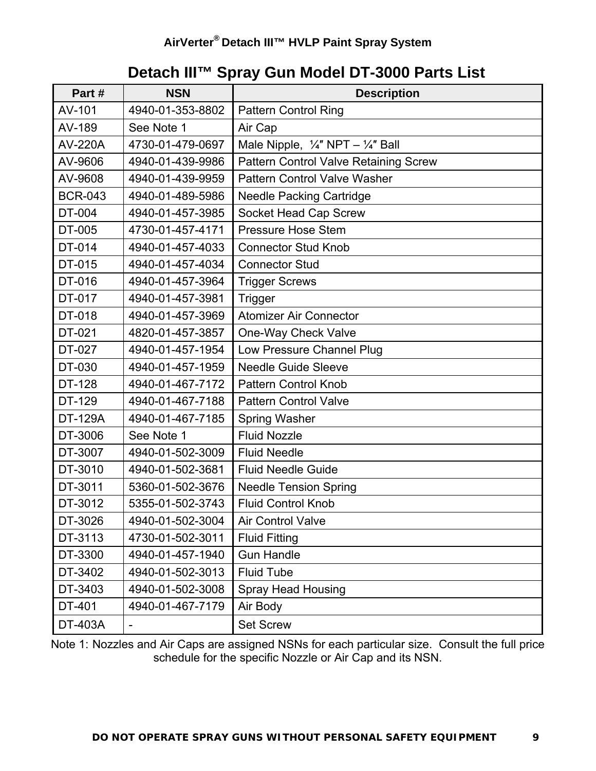# **Detach III™ Spray Gun Model DT-3000 Parts List**

| Part#                              | <b>NSN</b>       | <b>Description</b>                                      |
|------------------------------------|------------------|---------------------------------------------------------|
| AV-101                             | 4940-01-353-8802 | <b>Pattern Control Ring</b>                             |
| AV-189                             | See Note 1       | Air Cap                                                 |
| <b>AV-220A</b>                     | 4730-01-479-0697 | Male Nipple, $\frac{1}{4}$ " NPT – $\frac{1}{4}$ " Ball |
| AV-9606                            | 4940-01-439-9986 | Pattern Control Valve Retaining Screw                   |
| AV-9608                            | 4940-01-439-9959 | <b>Pattern Control Valve Washer</b>                     |
| <b>BCR-043</b>                     | 4940-01-489-5986 | <b>Needle Packing Cartridge</b>                         |
| DT-004                             | 4940-01-457-3985 | Socket Head Cap Screw                                   |
| DT-005                             | 4730-01-457-4171 | <b>Pressure Hose Stem</b>                               |
| DT-014                             | 4940-01-457-4033 | <b>Connector Stud Knob</b>                              |
| DT-015                             | 4940-01-457-4034 | <b>Connector Stud</b>                                   |
| DT-016                             | 4940-01-457-3964 | <b>Trigger Screws</b>                                   |
| DT-017                             | 4940-01-457-3981 | Trigger                                                 |
| DT-018                             | 4940-01-457-3969 | <b>Atomizer Air Connector</b>                           |
| DT-021                             | 4820-01-457-3857 | One-Way Check Valve                                     |
| DT-027                             | 4940-01-457-1954 | Low Pressure Channel Plug                               |
| DT-030                             | 4940-01-457-1959 | <b>Needle Guide Sleeve</b>                              |
| <b>DT-128</b>                      | 4940-01-467-7172 | <b>Pattern Control Knob</b>                             |
| DT-129                             | 4940-01-467-7188 | <b>Pattern Control Valve</b>                            |
| <b>DT-129A</b><br>4940-01-467-7185 |                  | <b>Spring Washer</b>                                    |
| DT-3006                            | See Note 1       | <b>Fluid Nozzle</b>                                     |
| DT-3007                            | 4940-01-502-3009 | <b>Fluid Needle</b>                                     |
| DT-3010                            | 4940-01-502-3681 | <b>Fluid Needle Guide</b>                               |
| DT-3011                            | 5360-01-502-3676 | <b>Needle Tension Spring</b>                            |
| DT-3012                            | 5355-01-502-3743 | <b>Fluid Control Knob</b>                               |
| DT-3026                            | 4940-01-502-3004 | Air Control Valve                                       |
| DT-3113                            | 4730-01-502-3011 | <b>Fluid Fitting</b>                                    |
| DT-3300                            | 4940-01-457-1940 | <b>Gun Handle</b>                                       |
| DT-3402                            | 4940-01-502-3013 | <b>Fluid Tube</b>                                       |
| DT-3403                            | 4940-01-502-3008 | <b>Spray Head Housing</b>                               |
| DT-401                             | 4940-01-467-7179 | Air Body                                                |
| DT-403A                            |                  | <b>Set Screw</b>                                        |

Note 1: Nozzles and Air Caps are assigned NSNs for each particular size. Consult the full price schedule for the specific Nozzle or Air Cap and its NSN.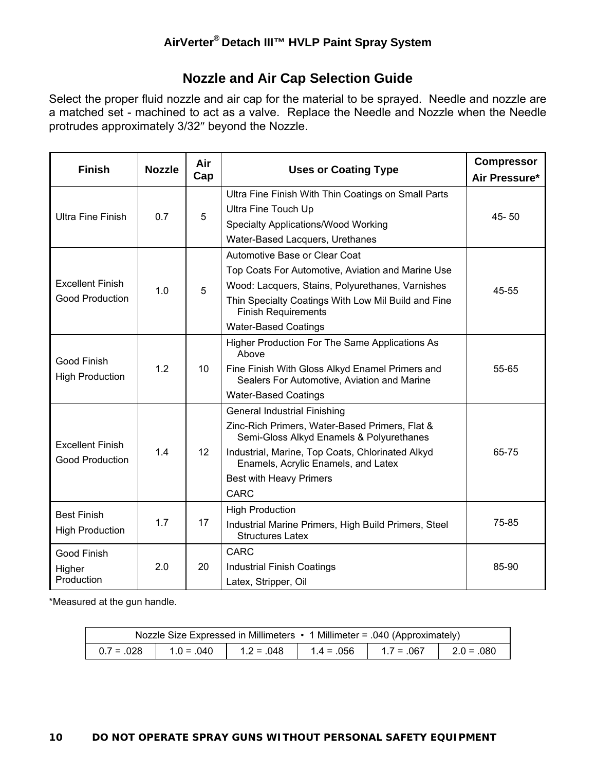#### **Nozzle and Air Cap Selection Guide**

Select the proper fluid nozzle and air cap for the material to be sprayed. Needle and nozzle are a matched set - machined to act as a valve. Replace the Needle and Nozzle when the Needle protrudes approximately 3/32″ beyond the Nozzle.

| <b>Finish</b>                                     | <b>Nozzle</b> | Air<br>Cap      | <b>Uses or Coating Type</b>                                                                                                                                                                                                                                                   | <b>Compressor</b><br>Air Pressure* |
|---------------------------------------------------|---------------|-----------------|-------------------------------------------------------------------------------------------------------------------------------------------------------------------------------------------------------------------------------------------------------------------------------|------------------------------------|
| <b>Ultra Fine Finish</b>                          | 0.7           | 5               | Ultra Fine Finish With Thin Coatings on Small Parts<br>Ultra Fine Touch Up<br>Specialty Applications/Wood Working<br>Water-Based Lacquers, Urethanes                                                                                                                          | 45-50                              |
| <b>Excellent Finish</b><br><b>Good Production</b> | 1.0           | 5               | Automotive Base or Clear Coat<br>Top Coats For Automotive, Aviation and Marine Use<br>Wood: Lacquers, Stains, Polyurethanes, Varnishes<br>Thin Specialty Coatings With Low Mil Build and Fine<br><b>Finish Requirements</b><br><b>Water-Based Coatings</b>                    | 45-55                              |
| Good Finish<br><b>High Production</b>             | 1.2           | 10              | Higher Production For The Same Applications As<br>Above<br>Fine Finish With Gloss Alkyd Enamel Primers and<br>Sealers For Automotive, Aviation and Marine<br><b>Water-Based Coatings</b>                                                                                      | 55-65                              |
| <b>Excellent Finish</b><br><b>Good Production</b> | 1.4           | 12 <sup>2</sup> | <b>General Industrial Finishing</b><br>Zinc-Rich Primers, Water-Based Primers, Flat &<br>Semi-Gloss Alkyd Enamels & Polyurethanes<br>Industrial, Marine, Top Coats, Chlorinated Alkyd<br>Enamels, Acrylic Enamels, and Latex<br><b>Best with Heavy Primers</b><br><b>CARC</b> | 65-75                              |
| <b>Best Finish</b><br><b>High Production</b>      | 1.7           | 17              | <b>High Production</b><br>Industrial Marine Primers, High Build Primers, Steel<br><b>Structures Latex</b>                                                                                                                                                                     | 75-85                              |
| Good Finish<br>Higher<br>Production               | 2.0           | 20              | CARC<br><b>Industrial Finish Coatings</b><br>Latex, Stripper, Oil                                                                                                                                                                                                             | 85-90                              |

\*Measured at the gun handle.

|              |              | Nozzle Size Expressed in Millimeters • 1 Millimeter = .040 (Approximately) |  |
|--------------|--------------|----------------------------------------------------------------------------|--|
| $0.7 = .028$ | $1.0 = .040$ | $1.2 = 0.048$   $1.4 = 0.056$   $1.7 = 0.067$   $2.0 = 0.080$              |  |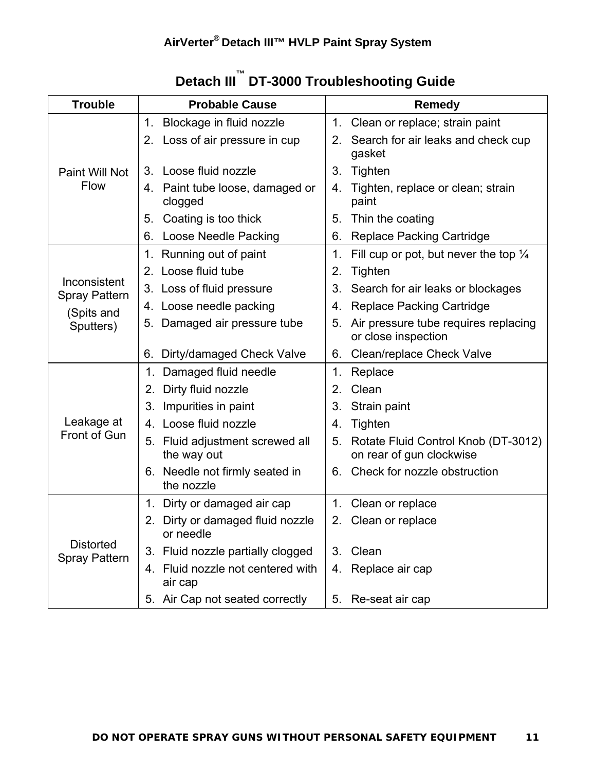| <b>Trouble</b>                           | <b>Probable Cause</b>                            | <b>Remedy</b>                                                         |  |  |
|------------------------------------------|--------------------------------------------------|-----------------------------------------------------------------------|--|--|
| Paint Will Not<br><b>Flow</b>            | Blockage in fluid nozzle<br>1.                   | 1. Clean or replace; strain paint                                     |  |  |
|                                          | 2. Loss of air pressure in cup                   | Search for air leaks and check cup<br>2.<br>gasket                    |  |  |
|                                          | Loose fluid nozzle<br>3.                         | 3.<br>Tighten                                                         |  |  |
|                                          | 4. Paint tube loose, damaged or<br>clogged       | Tighten, replace or clean; strain<br>4.<br>paint                      |  |  |
|                                          | Coating is too thick<br>5.                       | Thin the coating<br>5.                                                |  |  |
|                                          | Loose Needle Packing<br>6.                       | <b>Replace Packing Cartridge</b><br>6.                                |  |  |
|                                          | 1. Running out of paint                          | Fill cup or pot, but never the top $\frac{1}{4}$<br>1.                |  |  |
|                                          | 2. Loose fluid tube                              | Tighten<br>2.                                                         |  |  |
| Inconsistent<br><b>Spray Pattern</b>     | 3. Loss of fluid pressure                        | 3.<br>Search for air leaks or blockages                               |  |  |
| (Spits and                               | 4. Loose needle packing                          | <b>Replace Packing Cartridge</b><br>4.                                |  |  |
| Sputters)                                | 5. Damaged air pressure tube                     | Air pressure tube requires replacing<br>5.<br>or close inspection     |  |  |
|                                          | Dirty/damaged Check Valve<br>6.                  | Clean/replace Check Valve<br>6.                                       |  |  |
|                                          | 1. Damaged fluid needle                          | Replace<br>1.                                                         |  |  |
|                                          | Dirty fluid nozzle<br>2.                         | Clean<br>2.                                                           |  |  |
|                                          | 3. Impurities in paint                           | 3.<br>Strain paint                                                    |  |  |
| Leakage at                               | 4. Loose fluid nozzle                            | Tighten<br>4.                                                         |  |  |
| Front of Gun                             | 5. Fluid adjustment screwed all<br>the way out   | Rotate Fluid Control Knob (DT-3012)<br>5.<br>on rear of gun clockwise |  |  |
|                                          | 6. Needle not firmly seated in<br>the nozzle     | Check for nozzle obstruction<br>6.                                    |  |  |
|                                          | 1. Dirty or damaged air cap                      | 1. Clean or replace                                                   |  |  |
| <b>Distorted</b><br><b>Spray Pattern</b> | Dirty or damaged fluid nozzle<br>2.<br>or needle | 2. Clean or replace                                                   |  |  |
|                                          | 3. Fluid nozzle partially clogged                | Clean<br>3.                                                           |  |  |
|                                          | Fluid nozzle not centered with<br>4.<br>air cap  | Replace air cap<br>4.                                                 |  |  |
|                                          | 5. Air Cap not seated correctly                  | Re-seat air cap<br>5.                                                 |  |  |

# **Detach III™ DT-3000 Troubleshooting Guide**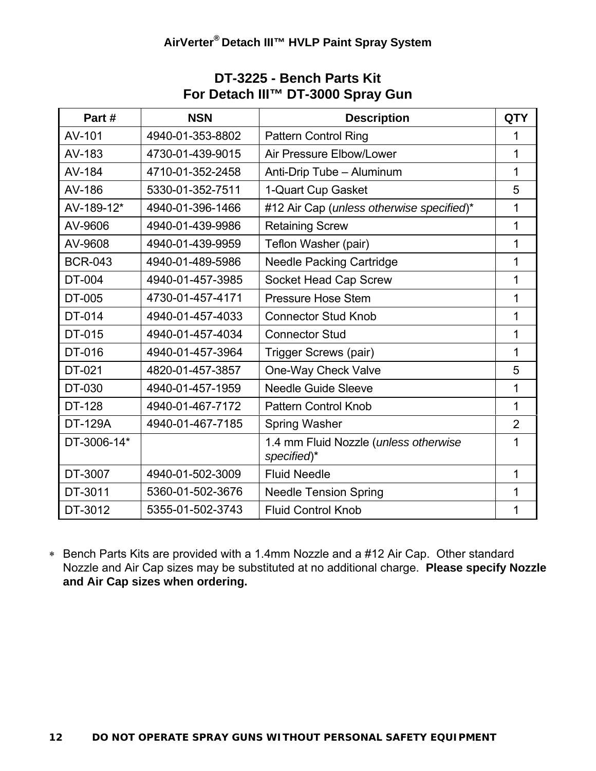| Part#          | <b>NSN</b>       | <b>Description</b>                                   | <b>QTY</b>     |
|----------------|------------------|------------------------------------------------------|----------------|
| AV-101         | 4940-01-353-8802 | <b>Pattern Control Ring</b>                          | 1              |
| AV-183         | 4730-01-439-9015 | Air Pressure Elbow/Lower                             | 1              |
| AV-184         | 4710-01-352-2458 | Anti-Drip Tube - Aluminum                            | 1              |
| AV-186         | 5330-01-352-7511 | 1-Quart Cup Gasket                                   | 5              |
| AV-189-12*     | 4940-01-396-1466 | #12 Air Cap (unless otherwise specified)*            | 1              |
| AV-9606        | 4940-01-439-9986 | <b>Retaining Screw</b>                               | 1              |
| AV-9608        | 4940-01-439-9959 | Teflon Washer (pair)                                 | 1              |
| <b>BCR-043</b> | 4940-01-489-5986 | <b>Needle Packing Cartridge</b>                      | 1              |
| DT-004         | 4940-01-457-3985 | Socket Head Cap Screw                                | 1              |
| DT-005         | 4730-01-457-4171 | <b>Pressure Hose Stem</b>                            | 1              |
| DT-014         | 4940-01-457-4033 | <b>Connector Stud Knob</b>                           | 1              |
| DT-015         | 4940-01-457-4034 | <b>Connector Stud</b>                                | 1              |
| DT-016         | 4940-01-457-3964 | Trigger Screws (pair)                                | 1              |
| DT-021         | 4820-01-457-3857 | One-Way Check Valve                                  | 5              |
| DT-030         | 4940-01-457-1959 | <b>Needle Guide Sleeve</b>                           | 1              |
| <b>DT-128</b>  | 4940-01-467-7172 | <b>Pattern Control Knob</b>                          | 1              |
| <b>DT-129A</b> | 4940-01-467-7185 | Spring Washer                                        | $\overline{2}$ |
| DT-3006-14*    |                  | 1.4 mm Fluid Nozzle (unless otherwise<br>specified)* | 1              |
| DT-3007        | 4940-01-502-3009 | <b>Fluid Needle</b>                                  | 1              |
| DT-3011        | 5360-01-502-3676 | <b>Needle Tension Spring</b>                         | 1              |
| DT-3012        | 5355-01-502-3743 | <b>Fluid Control Knob</b>                            | 1              |

#### **DT-3225 - Bench Parts Kit For Detach III™ DT-3000 Spray Gun**

∗ Bench Parts Kits are provided with a 1.4mm Nozzle and a #12 Air Cap. Other standard Nozzle and Air Cap sizes may be substituted at no additional charge. **Please specify Nozzle and Air Cap sizes when ordering.**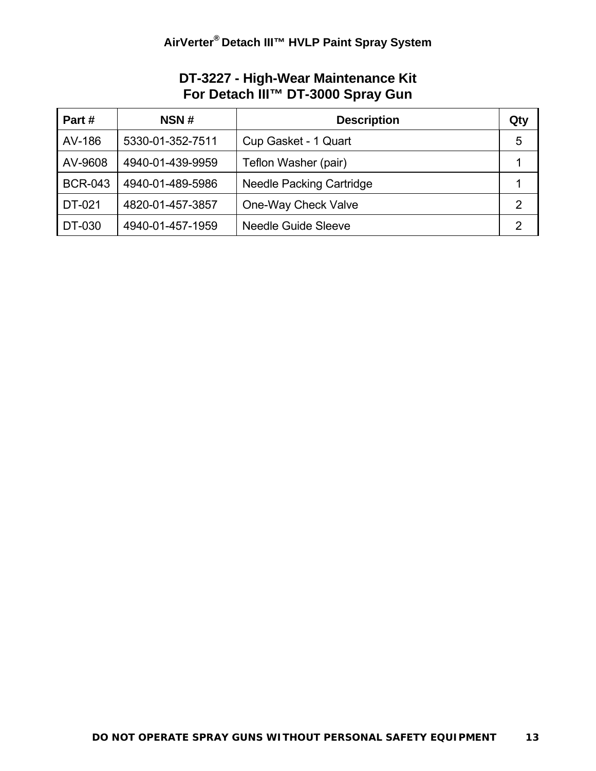# **DT-3227 - High-Wear Maintenance Kit For Detach III™ DT-3000 Spray Gun**

| Part#          | NSN#             | <b>Description</b>              | Qty            |
|----------------|------------------|---------------------------------|----------------|
| AV-186         | 5330-01-352-7511 | Cup Gasket - 1 Quart            | 5              |
| AV-9608        | 4940-01-439-9959 | Teflon Washer (pair)            |                |
| <b>BCR-043</b> | 4940-01-489-5986 | <b>Needle Packing Cartridge</b> |                |
| DT-021         | 4820-01-457-3857 | One-Way Check Valve             | $\overline{2}$ |
| DT-030         | 4940-01-457-1959 | <b>Needle Guide Sleeve</b>      | 2              |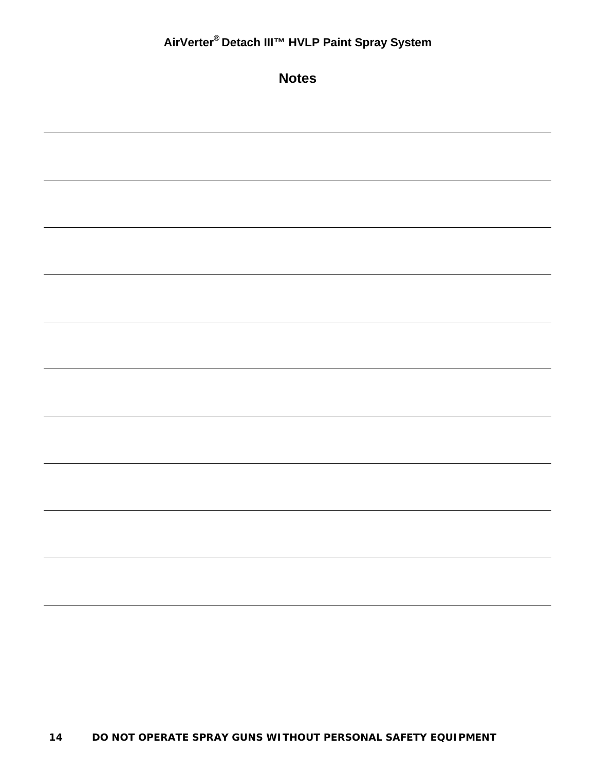| AirVerter® Detach III™ HVLP Paint Spray System |
|------------------------------------------------|
| <b>Notes</b>                                   |
|                                                |
|                                                |
|                                                |
|                                                |
|                                                |
|                                                |
|                                                |
|                                                |
|                                                |
|                                                |
|                                                |
|                                                |
|                                                |
|                                                |
|                                                |
|                                                |
|                                                |
|                                                |
|                                                |